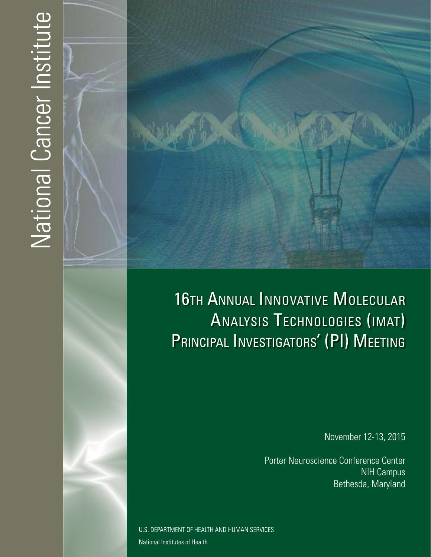# National Cancer Institute



# 16TH ANNUAL INNOVATIVE MOLECULAR ANALYSIS TECHNOLOGIES (IMAT) PRINCIPAL INVESTIGATORS' (PI) MEETING

November 12-13, 2015

Porter Neuroscience Conference Center NIH Campus Bethesda, Maryland

U.S. DEPARTMENT OF HEALTH AND HUMAN SERVICES National Institutes of Health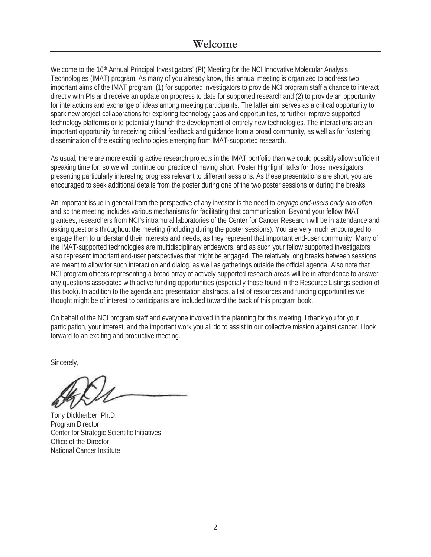### **Welcome**

Welcome to the 16<sup>th</sup> Annual Principal Investigators' (PI) Meeting for the NCI Innovative Molecular Analysis Technologies (IMAT) program. As many of you already know, this annual meeting is organized to address two important aims of the IMAT program: (1) for supported investigators to provide NCI program staff a chance to interact directly with PIs and receive an update on progress to date for supported research and (2) to provide an opportunity for interactions and exchange of ideas among meeting participants. The latter aim serves as a critical opportunity to spark new project collaborations for exploring technology gaps and opportunities, to further improve supported technology platforms or to potentially launch the development of entirely new technologies. The interactions are an important opportunity for receiving critical feedback and guidance from a broad community, as well as for fostering dissemination of the exciting technologies emerging from IMAT-supported research.

As usual, there are more exciting active research projects in the IMAT portfolio than we could possibly allow sufficient speaking time for, so we will continue our practice of having short "Poster Highlight" talks for those investigators presenting particularly interesting progress relevant to different sessions. As these presentations are short, you are encouraged to seek additional details from the poster during one of the two poster sessions or during the breaks.

An important issue in general from the perspective of any investor is the need to *engage end-users early and often*, and so the meeting includes various mechanisms for facilitating that communication. Beyond your fellow IMAT grantees, researchers from NCI's intramural laboratories of the Center for Cancer Research will be in attendance and asking questions throughout the meeting (including during the poster sessions). You are very much encouraged to engage them to understand their interests and needs, as they represent that important end-user community. Many of the IMAT-supported technologies are multidisciplinary endeavors, and as such your fellow supported investigators also represent important end-user perspectives that might be engaged. The relatively long breaks between sessions are meant to allow for such interaction and dialog, as well as gatherings outside the official agenda. Also note that NCI program officers representing a broad array of actively supported research areas will be in attendance to answer any questions associated with active funding opportunities (especially those found in the Resource Listings section of this book). In addition to the agenda and presentation abstracts, a list of resources and funding opportunities we thought might be of interest to participants are included toward the back of this program book.

On behalf of the NCI program staff and everyone involved in the planning for this meeting, I thank you for your participation, your interest, and the important work you all do to assist in our collective mission against cancer. I look forward to an exciting and productive meeting.

Sincerely,

Tony Dickherber, Ph.D. Program Director Center for Strategic Scientific Initiatives Office of the Director National Cancer Institute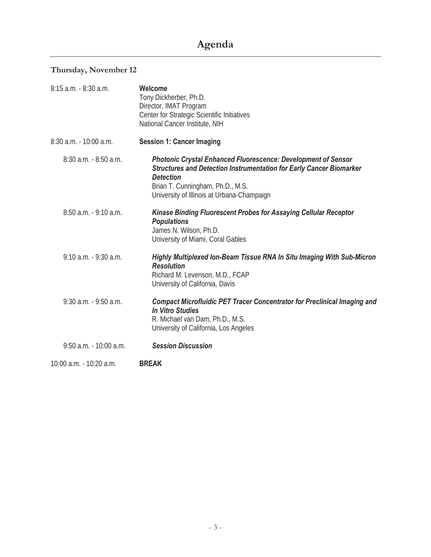### **Thursday, November 12**

| 8:15 a.m. - 8:30 a.m.    | Welcome<br>Tony Dickherber, Ph.D.<br>Director, IMAT Program<br>Center for Strategic Scientific Initiatives<br>National Cancer Institute, NIH                                                                                                             |
|--------------------------|----------------------------------------------------------------------------------------------------------------------------------------------------------------------------------------------------------------------------------------------------------|
| 8:30 a.m. - 10:00 a.m.   | <b>Session 1: Cancer Imaging</b>                                                                                                                                                                                                                         |
| $8:30$ a.m. $-8:50$ a.m. | <b>Photonic Crystal Enhanced Fluorescence: Development of Sensor</b><br><b>Structures and Detection Instrumentation for Early Cancer Biomarker</b><br><b>Detection</b><br>Brian T. Cunningham, Ph.D., M.S.<br>University of Illinois at Urbana-Champaign |
| $8:50$ a.m. $-9:10$ a.m. | <b>Kinase Binding Fluorescent Probes for Assaying Cellular Receptor</b><br><b>Populations</b><br>James N. Wilson, Ph.D.<br>University of Miami, Coral Gables                                                                                             |
| $9:10$ a.m. $-9:30$ a.m. | Highly Multiplexed Ion-Beam Tissue RNA In Situ Imaging With Sub-Micron<br><b>Resolution</b><br>Richard M. Levenson, M.D., FCAP<br>University of California, Davis                                                                                        |
| $9:30$ a.m. $-9:50$ a.m. | <b>Compact Microfluidic PET Tracer Concentrator for Preclinical Imaging and</b><br><b>In Vitro Studies</b><br>R. Michael van Dam, Ph.D., M.S.<br>University of California, Los Angeles                                                                   |
| 9:50 a.m. - 10:00 a.m.   | <b>Session Discussion</b>                                                                                                                                                                                                                                |
| 10:00 a.m. - 10:20 a.m.  | <b>BREAK</b>                                                                                                                                                                                                                                             |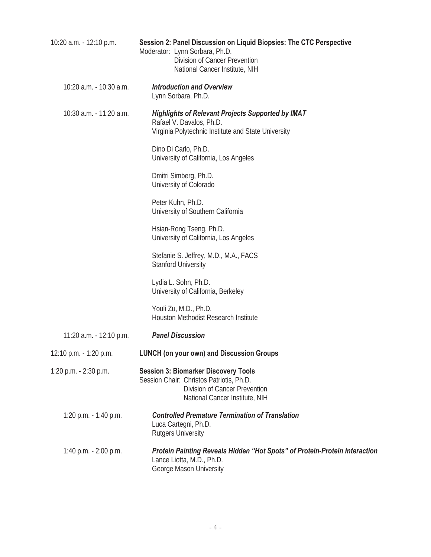| 10:20 a.m. - 12:10 p.m. | Session 2: Panel Discussion on Liquid Biopsies: The CTC Perspective<br>Moderator: Lynn Sorbara, Ph.D.<br>Division of Cancer Prevention<br>National Cancer Institute, NIH |
|-------------------------|--------------------------------------------------------------------------------------------------------------------------------------------------------------------------|
| 10:20 a.m. - 10:30 a.m. | <b>Introduction and Overview</b><br>Lynn Sorbara, Ph.D.                                                                                                                  |
| 10:30 a.m. - 11:20 a.m. | <b>Highlights of Relevant Projects Supported by IMAT</b><br>Rafael V. Davalos, Ph.D.<br>Virginia Polytechnic Institute and State University                              |
|                         | Dino Di Carlo, Ph.D.<br>University of California, Los Angeles                                                                                                            |
|                         | Dmitri Simberg, Ph.D.<br>University of Colorado                                                                                                                          |
|                         | Peter Kuhn, Ph.D.<br>University of Southern California                                                                                                                   |
|                         | Hsian-Rong Tseng, Ph.D.<br>University of California, Los Angeles                                                                                                         |
|                         | Stefanie S. Jeffrey, M.D., M.A., FACS<br><b>Stanford University</b>                                                                                                      |
|                         | Lydia L. Sohn, Ph.D.<br>University of California, Berkeley                                                                                                               |
|                         | Youli Zu, M.D., Ph.D.<br>Houston Methodist Research Institute                                                                                                            |
| 11:20 a.m. - 12:10 p.m. | <b>Panel Discussion</b>                                                                                                                                                  |
| 12:10 p.m. - 1:20 p.m.  | <b>LUNCH (on your own) and Discussion Groups</b>                                                                                                                         |
| 1:20 p.m. - 2:30 p.m.   | <b>Session 3: Biomarker Discovery Tools</b><br>Session Chair: Christos Patriotis, Ph.D.<br>Division of Cancer Prevention<br>National Cancer Institute, NIH               |
| 1:20 p.m. - 1:40 p.m.   | <b>Controlled Premature Termination of Translation</b><br>Luca Cartegni, Ph.D.<br><b>Rutgers University</b>                                                              |
| 1:40 p.m. - 2:00 p.m.   | Protein Painting Reveals Hidden "Hot Spots" of Protein-Protein Interaction<br>Lance Liotta, M.D., Ph.D.<br>George Mason University                                       |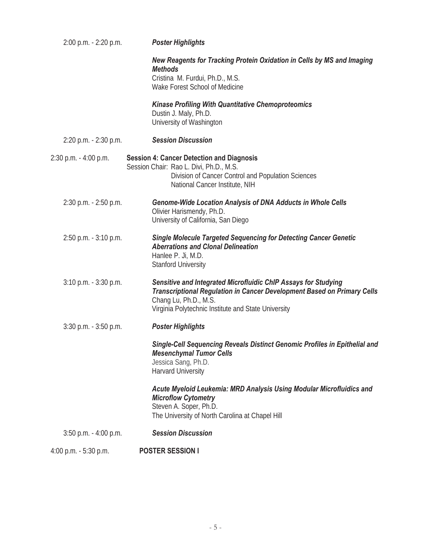| 2:00 p.m. - 2:20 p.m.    | <b>Poster Highlights</b>                                                                                                                                                                                                  |
|--------------------------|---------------------------------------------------------------------------------------------------------------------------------------------------------------------------------------------------------------------------|
|                          | New Reagents for Tracking Protein Oxidation in Cells by MS and Imaging<br><b>Methods</b><br>Cristina M. Furdui, Ph.D., M.S.<br>Wake Forest School of Medicine                                                             |
|                          | <b>Kinase Profiling With Quantitative Chemoproteomics</b><br>Dustin J. Maly, Ph.D.<br>University of Washington                                                                                                            |
| 2:20 p.m. - 2:30 p.m.    | <b>Session Discussion</b>                                                                                                                                                                                                 |
| 2:30 p.m. - 4:00 p.m.    | <b>Session 4: Cancer Detection and Diagnosis</b><br>Session Chair: Rao L. Divi, Ph.D., M.S.<br>Division of Cancer Control and Population Sciences<br>National Cancer Institute, NIH                                       |
| 2:30 p.m. - 2:50 p.m.    | <b>Genome-Wide Location Analysis of DNA Adducts in Whole Cells</b><br>Olivier Harismendy, Ph.D.<br>University of California, San Diego                                                                                    |
| 2:50 p.m. - 3:10 p.m.    | <b>Single Molecule Targeted Sequencing for Detecting Cancer Genetic</b><br><b>Aberrations and Clonal Delineation</b><br>Hanlee P. Ji, M.D.<br><b>Stanford University</b>                                                  |
| $3:10$ p.m. $-3:30$ p.m. | Sensitive and Integrated Microfluidic ChIP Assays for Studying<br>Transcriptional Regulation in Cancer Development Based on Primary Cells<br>Chang Lu, Ph.D., M.S.<br>Virginia Polytechnic Institute and State University |
| $3:30$ p.m. $-3:50$ p.m. | <b>Poster Highlights</b>                                                                                                                                                                                                  |
|                          | Single-Cell Sequencing Reveals Distinct Genomic Profiles in Epithelial and<br><b>Mesenchymal Tumor Cells</b><br>Jessica Sang, Ph.D.<br>Harvard University                                                                 |
|                          | Acute Myeloid Leukemia: MRD Analysis Using Modular Microfluidics and<br><b>Microflow Cytometry</b><br>Steven A. Soper, Ph.D.<br>The University of North Carolina at Chapel Hill                                           |
| $3:50$ p.m. $-4:00$ p.m. | <b>Session Discussion</b>                                                                                                                                                                                                 |
| 4:00 p.m. - 5:30 p.m.    | <b>POSTER SESSION I</b>                                                                                                                                                                                                   |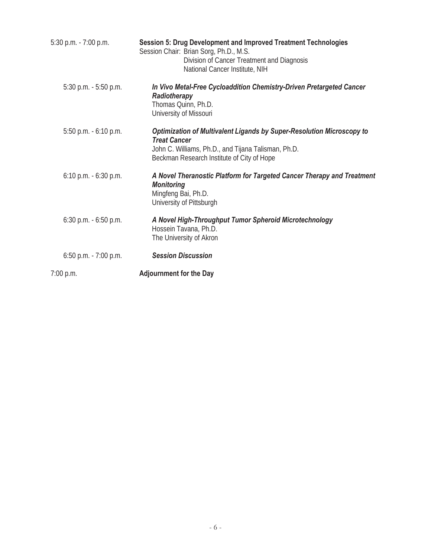| 5:30 p.m. - 7:00 p.m.    | Session 5: Drug Development and Improved Treatment Technologies<br>Session Chair: Brian Sorg, Ph.D., M.S.<br>Division of Cancer Treatment and Diagnosis<br>National Cancer Institute, NIH         |
|--------------------------|---------------------------------------------------------------------------------------------------------------------------------------------------------------------------------------------------|
| $5:30$ p.m. $-5:50$ p.m. | In Vivo Metal-Free Cycloaddition Chemistry-Driven Pretargeted Cancer<br>Radiotherapy<br>Thomas Quinn, Ph.D.<br>University of Missouri                                                             |
| 5:50 p.m. - 6:10 p.m.    | Optimization of Multivalent Ligands by Super-Resolution Microscopy to<br><b>Treat Cancer</b><br>John C. Williams, Ph.D., and Tijana Talisman, Ph.D.<br>Beckman Research Institute of City of Hope |
| $6:10$ p.m. $-6:30$ p.m. | A Novel Theranostic Platform for Targeted Cancer Therapy and Treatment<br><b>Monitoring</b><br>Mingfeng Bai, Ph.D.<br>University of Pittsburgh                                                    |
| $6:30$ p.m. $-6:50$ p.m. | A Novel High-Throughput Tumor Spheroid Microtechnology<br>Hossein Tavana, Ph.D.<br>The University of Akron                                                                                        |
| $6:50$ p.m. - 7:00 p.m.  | <b>Session Discussion</b>                                                                                                                                                                         |
| $7:00$ p.m.              | <b>Adjournment for the Day</b>                                                                                                                                                                    |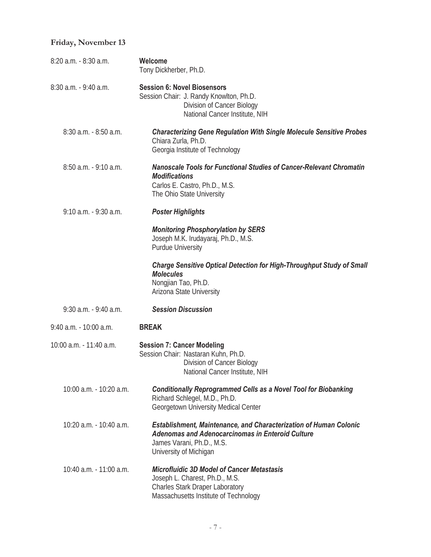### **Friday, November 13**

| 8:20 a.m. - 8:30 a.m.    | Welcome<br>Tony Dickherber, Ph.D.                                                                                                                                                   |
|--------------------------|-------------------------------------------------------------------------------------------------------------------------------------------------------------------------------------|
| 8:30 a.m. - 9:40 a.m.    | <b>Session 6: Novel Biosensors</b><br>Session Chair: J. Randy Knowlton, Ph.D.<br>Division of Cancer Biology<br>National Cancer Institute, NIH                                       |
| $8:30$ a.m. $-8:50$ a.m. | <b>Characterizing Gene Regulation With Single Molecule Sensitive Probes</b><br>Chiara Zurla, Ph.D.<br>Georgia Institute of Technology                                               |
| 8:50 a.m. - 9:10 a.m.    | <b>Nanoscale Tools for Functional Studies of Cancer-Relevant Chromatin</b><br><b>Modifications</b><br>Carlos E. Castro, Ph.D., M.S.<br>The Ohio State University                    |
| 9:10 a.m. - 9:30 a.m.    | <b>Poster Highlights</b>                                                                                                                                                            |
|                          | <b>Monitoring Phosphorylation by SERS</b><br>Joseph M.K. Irudayaraj, Ph.D., M.S.<br><b>Purdue University</b>                                                                        |
|                          | <b>Charge Sensitive Optical Detection for High-Throughput Study of Small</b><br><b>Molecules</b><br>Nongjian Tao, Ph.D.<br>Arizona State University                                 |
| 9:30 a.m. - 9:40 a.m.    | <b>Session Discussion</b>                                                                                                                                                           |
| 9:40 a.m. - 10:00 a.m.   | <b>BREAK</b>                                                                                                                                                                        |
| 10:00 a.m. - 11:40 a.m.  | <b>Session 7: Cancer Modeling</b><br>Session Chair: Nastaran Kuhn, Ph.D.<br>Division of Cancer Biology<br>National Cancer Institute, NIH                                            |
| 10:00 a.m. - 10:20 a.m.  | <b>Conditionally Reprogrammed Cells as a Novel Tool for Biobanking</b><br>Richard Schlegel, M.D., Ph.D.<br>Georgetown University Medical Center                                     |
| 10:20 a.m. - 10:40 a.m.  | <b>Establishment, Maintenance, and Characterization of Human Colonic</b><br>Adenomas and Adenocarcinomas in Enteroid Culture<br>James Varani, Ph.D., M.S.<br>University of Michigan |
| 10:40 a.m. - 11:00 a.m.  | <b>Microfluidic 3D Model of Cancer Metastasis</b><br>Joseph L. Charest, Ph.D., M.S.<br><b>Charles Stark Draper Laboratory</b><br>Massachusetts Institute of Technology              |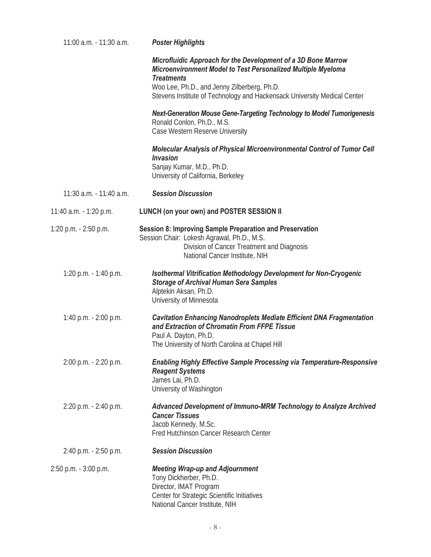| 11:00 a.m. - 11:30 a.m. | <b>Poster Highlights</b>                                                                                                                                                                                 |
|-------------------------|----------------------------------------------------------------------------------------------------------------------------------------------------------------------------------------------------------|
|                         | Microfluidic Approach for the Development of a 3D Bone Marrow<br>Microenvironment Model to Test Personalized Multiple Myeloma<br><b>Treatments</b>                                                       |
|                         | Woo Lee, Ph.D., and Jenny Zilberberg, Ph.D.<br>Stevens Institute of Technology and Hackensack University Medical Center                                                                                  |
|                         | <b>Next-Generation Mouse Gene-Targeting Technology to Model Tumorigenesis</b><br>Ronald Conlon, Ph.D., M.S.<br>Case Western Reserve University                                                           |
|                         | Molecular Analysis of Physical Microenvironmental Control of Tumor Cell<br><b>Invasion</b><br>Sanjay Kumar, M.D., Ph.D.<br>University of California, Berkeley                                            |
| 11:30 a.m. - 11:40 a.m. | <b>Session Discussion</b>                                                                                                                                                                                |
| 11:40 a.m. - 1:20 p.m.  | <b>LUNCH (on your own) and POSTER SESSION II</b>                                                                                                                                                         |
| 1:20 p.m. - 2:50 p.m.   | <b>Session 8: Improving Sample Preparation and Preservation</b><br>Session Chair: Lokesh Agrawal, Ph.D., M.S.<br>Division of Cancer Treatment and Diagnosis<br>National Cancer Institute, NIH            |
| 1:20 p.m. - 1:40 p.m.   | <b>Isothermal Vitrification Methodology Development for Non-Cryogenic</b><br><b>Storage of Archival Human Sera Samples</b><br>Alptekin Aksan, Ph.D.<br>University of Minnesota                           |
| 1:40 p.m. - 2:00 p.m.   | <b>Cavitation Enhancing Nanodroplets Mediate Efficient DNA Fragmentation</b><br>and Extraction of Chromatin From FFPE Tissue<br>Paul A. Dayton, Ph.D.<br>The University of North Carolina at Chapel Hill |
| 2:00 p.m. - 2:20 p.m.   | <b>Enabling Highly Effective Sample Processing via Temperature-Responsive</b><br><b>Reagent Systems</b><br>James Lai, Ph.D.<br>University of Washington                                                  |
| 2:20 p.m. - 2:40 p.m.   | Advanced Development of Immuno-MRM Technology to Analyze Archived<br><b>Cancer Tissues</b><br>Jacob Kennedy, M.Sc.<br>Fred Hutchinson Cancer Research Center                                             |
| 2:40 p.m. - 2:50 p.m.   | <b>Session Discussion</b>                                                                                                                                                                                |
| 2:50 p.m. - 3:00 p.m.   | <b>Meeting Wrap-up and Adjournment</b><br>Tony Dickherber, Ph.D.<br>Director, IMAT Program<br>Center for Strategic Scientific Initiatives<br>National Cancer Institute, NIH                              |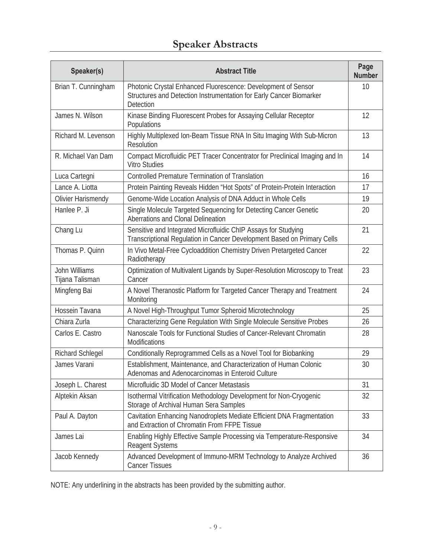## **Speaker Abstracts**

| Speaker(s)                       | <b>Abstract Title</b>                                                                                                                                    | Page<br><b>Number</b> |
|----------------------------------|----------------------------------------------------------------------------------------------------------------------------------------------------------|-----------------------|
| Brian T. Cunningham              | Photonic Crystal Enhanced Fluorescence: Development of Sensor<br>Structures and Detection Instrumentation for Early Cancer Biomarker<br><b>Detection</b> | 10                    |
| James N. Wilson                  | Kinase Binding Fluorescent Probes for Assaying Cellular Receptor<br>Populations                                                                          | 12                    |
| Richard M. Levenson              | Highly Multiplexed Ion-Beam Tissue RNA In Situ Imaging With Sub-Micron<br><b>Resolution</b>                                                              | 13                    |
| R. Michael Van Dam               | Compact Microfluidic PET Tracer Concentrator for Preclinical Imaging and In<br><b>Vitro Studies</b>                                                      | 14                    |
| Luca Cartegni                    | <b>Controlled Premature Termination of Translation</b>                                                                                                   | 16                    |
| Lance A. Liotta                  | Protein Painting Reveals Hidden "Hot Spots" of Protein-Protein Interaction                                                                               | 17                    |
| Olivier Harismendy               | Genome-Wide Location Analysis of DNA Adduct in Whole Cells                                                                                               | 19                    |
| Hanlee P. Ji                     | Single Molecule Targeted Sequencing for Detecting Cancer Genetic<br>Aberrations and Clonal Delineation                                                   | 20                    |
| Chang Lu                         | Sensitive and Integrated Microfluidic ChIP Assays for Studying<br>Transcriptional Regulation in Cancer Development Based on Primary Cells                | 21                    |
| Thomas P. Quinn                  | In Vivo Metal-Free Cycloaddition Chemistry Driven Pretargeted Cancer<br>Radiotherapy                                                                     | 22                    |
| John Williams<br>Tijana Talisman | Optimization of Multivalent Ligands by Super-Resolution Microscopy to Treat<br>Cancer                                                                    | 23                    |
| Mingfeng Bai                     | A Novel Theranostic Platform for Targeted Cancer Therapy and Treatment<br>Monitoring                                                                     | 24                    |
| Hossein Tavana                   | A Novel High-Throughput Tumor Spheroid Microtechnology                                                                                                   | 25                    |
| Chiara Zurla                     | Characterizing Gene Regulation With Single Molecule Sensitive Probes                                                                                     | 26                    |
| Carlos E. Castro                 | Nanoscale Tools for Functional Studies of Cancer-Relevant Chromatin<br>Modifications                                                                     | 28                    |
| Richard Schlegel                 | Conditionally Reprogrammed Cells as a Novel Tool for Biobanking                                                                                          | 29                    |
| James Varani                     | Establishment, Maintenance, and Characterization of Human Colonic<br>Adenomas and Adenocarcinomas in Enteroid Culture                                    | 30                    |
| Joseph L. Charest                | Microfluidic 3D Model of Cancer Metastasis                                                                                                               | 31                    |
| Alptekin Aksan                   | Isothermal Vitrification Methodology Development for Non-Cryogenic<br>Storage of Archival Human Sera Samples                                             | 32                    |
| Paul A. Dayton                   | Cavitation Enhancing Nanodroplets Mediate Efficient DNA Fragmentation<br>and Extraction of Chromatin From FFPE Tissue                                    | 33                    |
| James Lai                        | Enabling Highly Effective Sample Processing via Temperature-Responsive<br><b>Reagent Systems</b>                                                         | 34                    |
| Jacob Kennedy                    | Advanced Development of Immuno-MRM Technology to Analyze Archived<br><b>Cancer Tissues</b>                                                               | 36                    |

NOTE: Any underlining in the abstracts has been provided by the submitting author.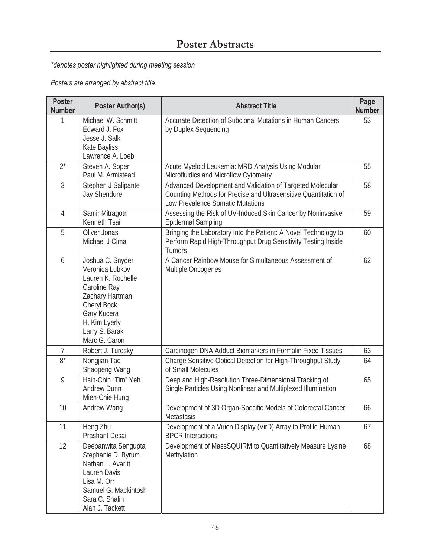### *\*denotes poster highlighted during meeting session*

*Posters are arranged by abstract title.* 

| <b>Poster</b><br><b>Number</b> | <b>Poster Author(s)</b>                                                                                                                                                        | <b>Abstract Title</b>                                                                                                                                            | Page<br><b>Number</b> |
|--------------------------------|--------------------------------------------------------------------------------------------------------------------------------------------------------------------------------|------------------------------------------------------------------------------------------------------------------------------------------------------------------|-----------------------|
| 1                              | Michael W. Schmitt<br>Edward J. Fox<br>Jesse J. Salk<br>Kate Bayliss<br>Lawrence A. Loeb                                                                                       | Accurate Detection of Subclonal Mutations in Human Cancers<br>by Duplex Sequencing                                                                               | 53                    |
| $2^*$                          | Steven A. Soper<br>Paul M. Armistead                                                                                                                                           | Acute Myeloid Leukemia: MRD Analysis Using Modular<br>Microfluidics and Microflow Cytometry                                                                      | 55                    |
| $\mathfrak{Z}$                 | Stephen J Salipante<br><b>Jay Shendure</b>                                                                                                                                     | Advanced Development and Validation of Targeted Molecular<br>Counting Methods for Precise and Ultrasensitive Quantitation of<br>Low Prevalence Somatic Mutations | 58                    |
| 4                              | Samir Mitragotri<br>Kenneth Tsai                                                                                                                                               | Assessing the Risk of UV-Induced Skin Cancer by Noninvasive<br><b>Epidermal Sampling</b>                                                                         | 59                    |
| 5                              | Oliver Jonas<br>Michael J Cima                                                                                                                                                 | Bringing the Laboratory Into the Patient: A Novel Technology to<br>Perform Rapid High-Throughput Drug Sensitivity Testing Inside<br>Tumors                       | 60                    |
| 6                              | Joshua C. Snyder<br>Veronica Lubkov<br>Lauren K. Rochelle<br>Caroline Ray<br>Zachary Hartman<br>Cheryl Bock<br>Gary Kucera<br>H. Kim Lyerly<br>Larry S. Barak<br>Marc G. Caron | A Cancer Rainbow Mouse for Simultaneous Assessment of<br>Multiple Oncogenes                                                                                      | 62                    |
| 7                              | Robert J. Turesky                                                                                                                                                              | Carcinogen DNA Adduct Biomarkers in Formalin Fixed Tissues                                                                                                       | 63                    |
| $8*$                           | Nongjian Tao<br>Shaopeng Wang                                                                                                                                                  | Charge Sensitive Optical Detection for High-Throughput Study<br>of Small Molecules                                                                               | 64                    |
| 9                              | Hsin-Chih "Tim" Yeh<br><b>Andrew Dunn</b><br>Mien-Chie Hung                                                                                                                    | Deep and High-Resolution Three-Dimensional Tracking of<br>Single Particles Using Nonlinear and Multiplexed Illumination                                          | 65                    |
| 10                             | Andrew Wang                                                                                                                                                                    | Development of 3D Organ-Specific Models of Colorectal Cancer<br>Metastasis                                                                                       | 66                    |
| 11                             | Heng Zhu<br>Prashant Desai                                                                                                                                                     | Development of a Virion Display (VirD) Array to Profile Human<br><b>BPCR Interactions</b>                                                                        | 67                    |
| 12                             | Deepanwita Sengupta<br>Stephanie D. Byrum<br>Nathan L. Avaritt<br>Lauren Davis<br>Lisa M. Orr<br>Samuel G. Mackintosh<br>Sara C. Shalin<br>Alan J. Tackett                     | Development of MassSQUIRM to Quantitatively Measure Lysine<br>Methylation                                                                                        | 68                    |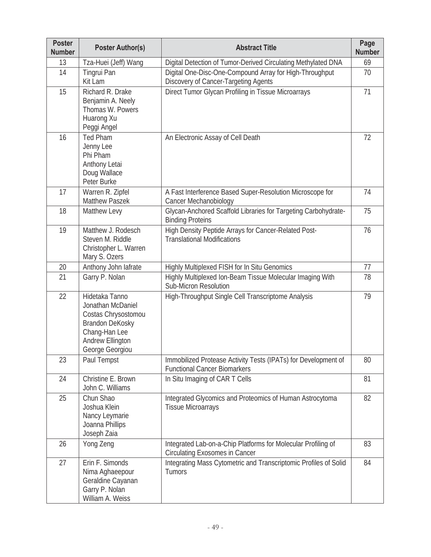| <b>Poster</b><br><b>Number</b> | <b>Poster Author(s)</b>                                                                                                               | <b>Abstract Title</b>                                                                                  | Page<br><b>Number</b> |
|--------------------------------|---------------------------------------------------------------------------------------------------------------------------------------|--------------------------------------------------------------------------------------------------------|-----------------------|
| 13                             | Tza-Huei (Jeff) Wang                                                                                                                  | Digital Detection of Tumor-Derived Circulating Methylated DNA                                          | 69                    |
| 14                             | Tingrui Pan<br>Kit Lam                                                                                                                | Digital One-Disc-One-Compound Array for High-Throughput<br>Discovery of Cancer-Targeting Agents        | 70                    |
| 15                             | Richard R. Drake<br>Benjamin A. Neely<br>Thomas W. Powers<br>Huarong Xu<br>Peggi Angel                                                | Direct Tumor Glycan Profiling in Tissue Microarrays                                                    | 71                    |
| 16                             | <b>Ted Pham</b><br>Jenny Lee<br>Phi Pham<br>Anthony Letai<br>Doug Wallace<br>Peter Burke                                              | An Electronic Assay of Cell Death                                                                      | 72                    |
| 17                             | Warren R. Zipfel<br><b>Matthew Paszek</b>                                                                                             | A Fast Interference Based Super-Resolution Microscope for<br>Cancer Mechanobiology                     | 74                    |
| 18                             | Matthew Levy                                                                                                                          | Glycan-Anchored Scaffold Libraries for Targeting Carbohydrate-<br><b>Binding Proteins</b>              | 75                    |
| 19                             | Matthew J. Rodesch<br>Steven M. Riddle<br>Christopher L. Warren<br>Mary S. Ozers                                                      | High Density Peptide Arrays for Cancer-Related Post-<br><b>Translational Modifications</b>             | 76                    |
| 20                             | Anthony John lafrate                                                                                                                  | Highly Multiplexed FISH for In Situ Genomics                                                           | 77                    |
| 21                             | Garry P. Nolan                                                                                                                        | Highly Multiplexed Ion-Beam Tissue Molecular Imaging With<br>Sub-Micron Resolution                     | 78                    |
| 22                             | Hidetaka Tanno<br>Jonathan McDaniel<br>Costas Chrysostomou<br>Brandon DeKosky<br>Chang-Han Lee<br>Andrew Ellington<br>George Georgiou | High-Throughput Single Cell Transcriptome Analysis                                                     | 79                    |
| 23                             | Paul Tempst                                                                                                                           | Immobilized Protease Activity Tests (IPATs) for Development of<br><b>Functional Cancer Biomarkers</b>  | 80                    |
| 24                             | Christine E. Brown<br>John C. Williams                                                                                                | In Situ Imaging of CAR T Cells                                                                         | 81                    |
| 25                             | Chun Shao<br>Joshua Klein<br>Nancy Leymarie<br>Joanna Phillips<br>Joseph Zaia                                                         | Integrated Glycomics and Proteomics of Human Astrocytoma<br><b>Tissue Microarrays</b>                  | 82                    |
| 26                             | Yong Zeng                                                                                                                             | Integrated Lab-on-a-Chip Platforms for Molecular Profiling of<br><b>Circulating Exosomes in Cancer</b> | 83                    |
| 27                             | Erin F. Simonds<br>Nima Aghaeepour<br>Geraldine Cayanan<br>Garry P. Nolan<br>William A. Weiss                                         | Integrating Mass Cytometric and Transcriptomic Profiles of Solid<br>Tumors                             | 84                    |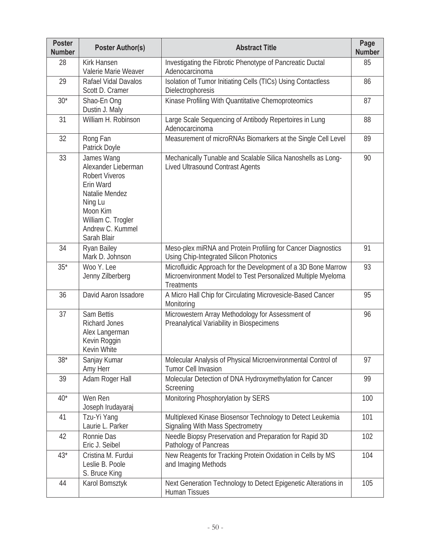| <b>Poster</b><br><b>Number</b> | <b>Poster Author(s)</b>                                                                                                                                                   | <b>Abstract Title</b>                                                                                                                              | Page<br><b>Number</b> |
|--------------------------------|---------------------------------------------------------------------------------------------------------------------------------------------------------------------------|----------------------------------------------------------------------------------------------------------------------------------------------------|-----------------------|
| 28                             | <b>Kirk Hansen</b><br>Valerie Marie Weaver                                                                                                                                | Investigating the Fibrotic Phenotype of Pancreatic Ductal<br>Adenocarcinoma                                                                        | 85                    |
| 29                             | Rafael Vidal Davalos<br>Scott D. Cramer                                                                                                                                   | Isolation of Tumor Initiating Cells (TICs) Using Contactless<br>Dielectrophoresis                                                                  | 86                    |
| $30*$                          | Shao-En Ong<br>Dustin J. Maly                                                                                                                                             | Kinase Profiling With Quantitative Chemoproteomics                                                                                                 | 87                    |
| 31                             | William H. Robinson                                                                                                                                                       | Large Scale Sequencing of Antibody Repertoires in Lung<br>Adenocarcinoma                                                                           | 88                    |
| 32                             | Rong Fan<br>Patrick Doyle                                                                                                                                                 | Measurement of microRNAs Biomarkers at the Single Cell Level                                                                                       | 89                    |
| 33                             | James Wang<br>Alexander Lieberman<br><b>Robert Viveros</b><br>Erin Ward<br>Natalie Mendez<br>Ning Lu<br>Moon Kim<br>William C. Trogler<br>Andrew C. Kummel<br>Sarah Blair | Mechanically Tunable and Scalable Silica Nanoshells as Long-<br><b>Lived Ultrasound Contrast Agents</b>                                            | 90                    |
| 34                             | Ryan Bailey<br>Mark D. Johnson                                                                                                                                            | Meso-plex miRNA and Protein Profiling for Cancer Diagnostics<br>Using Chip-Integrated Silicon Photonics                                            | 91                    |
| $35*$                          | Woo Y. Lee<br>Jenny Zilberberg                                                                                                                                            | Microfluidic Approach for the Development of a 3D Bone Marrow<br>Microenvironment Model to Test Personalized Multiple Myeloma<br><b>Treatments</b> | 93                    |
| 36                             | David Aaron Issadore                                                                                                                                                      | A Micro Hall Chip for Circulating Microvesicle-Based Cancer<br>Monitoring                                                                          | 95                    |
| 37                             | Sam Bettis<br><b>Richard Jones</b><br>Alex Langerman<br>Kevin Roggin<br>Kevin White                                                                                       | Microwestern Array Methodology for Assessment of<br>Preanalytical Variability in Biospecimens                                                      | 96                    |
| $38*$                          | Sanjay Kumar<br>Amy Herr                                                                                                                                                  | Molecular Analysis of Physical Microenvironmental Control of<br>Tumor Cell Invasion                                                                | 97                    |
| 39                             | Adam Roger Hall                                                                                                                                                           | Molecular Detection of DNA Hydroxymethylation for Cancer<br>Screening                                                                              | 99                    |
| $40*$                          | Wen Ren<br>Joseph Irudayaraj                                                                                                                                              | Monitoring Phosphorylation by SERS                                                                                                                 | 100                   |
| 41                             | Tzu-Yi Yang<br>Laurie L. Parker                                                                                                                                           | Multiplexed Kinase Biosensor Technology to Detect Leukemia<br><b>Signaling With Mass Spectrometry</b>                                              | 101                   |
| 42                             | Ronnie Das<br>Eric J. Seibel                                                                                                                                              | Needle Biopsy Preservation and Preparation for Rapid 3D<br>Pathology of Pancreas                                                                   | 102                   |
| $43*$                          | Cristina M. Furdui<br>Leslie B. Poole<br>S. Bruce King                                                                                                                    | New Reagents for Tracking Protein Oxidation in Cells by MS<br>and Imaging Methods                                                                  | 104                   |
| 44                             | Karol Bomsztyk                                                                                                                                                            | Next Generation Technology to Detect Epigenetic Alterations in<br>Human Tissues                                                                    | 105                   |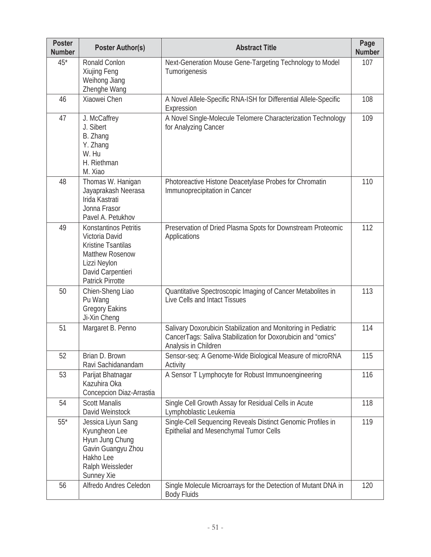| <b>Poster</b><br><b>Number</b> | <b>Poster Author(s)</b>                                                                                                                                 | <b>Abstract Title</b>                                                                                                                                  | Page<br><b>Number</b> |
|--------------------------------|---------------------------------------------------------------------------------------------------------------------------------------------------------|--------------------------------------------------------------------------------------------------------------------------------------------------------|-----------------------|
| $45*$                          | Ronald Conlon<br>Xiujing Feng<br>Weihong Jiang<br>Zhenghe Wang                                                                                          | Next-Generation Mouse Gene-Targeting Technology to Model<br>Tumorigenesis                                                                              | 107                   |
| 46                             | Xiaowei Chen                                                                                                                                            | A Novel Allele-Specific RNA-ISH for Differential Allele-Specific<br>Expression                                                                         | 108                   |
| 47                             | J. McCaffrey<br>J. Sibert<br>B. Zhang<br>Y. Zhang<br>W. Hu<br>H. Riethman<br>M. Xiao                                                                    | A Novel Single-Molecule Telomere Characterization Technology<br>for Analyzing Cancer                                                                   | 109                   |
| 48                             | Thomas W. Hanigan<br>Jayaprakash Neerasa<br>Irida Kastrati<br>Jonna Frasor<br>Pavel A. Petukhov                                                         | Photoreactive Histone Deacetylase Probes for Chromatin<br>Immunoprecipitation in Cancer                                                                | 110                   |
| 49                             | Konstantinos Petritis<br>Victoria David<br>Kristine Tsantilas<br><b>Matthew Rosenow</b><br>Lizzi Neylon<br>David Carpentieri<br><b>Patrick Pirrotte</b> | Preservation of Dried Plasma Spots for Downstream Proteomic<br>Applications                                                                            | 112                   |
| 50                             | Chien-Sheng Liao<br>Pu Wang<br><b>Gregory Eakins</b><br>Ji-Xin Cheng                                                                                    | Quantitative Spectroscopic Imaging of Cancer Metabolites in<br>Live Cells and Intact Tissues                                                           | 113                   |
| 51                             | Margaret B. Penno                                                                                                                                       | Salivary Doxorubicin Stabilization and Monitoring in Pediatric<br>CancerTags: Saliva Stabilization for Doxorubicin and "omics"<br>Analysis in Children | 114                   |
| 52                             | Brian D. Brown<br>Ravi Sachidanandam                                                                                                                    | Sensor-seq: A Genome-Wide Biological Measure of microRNA<br>Activity                                                                                   | 115                   |
| 53                             | Parijat Bhatnagar<br>Kazuhira Oka<br>Concepcion Diaz-Arrastia                                                                                           | A Sensor T Lymphocyte for Robust Immunoengineering                                                                                                     | 116                   |
| 54                             | <b>Scott Manalis</b><br>David Weinstock                                                                                                                 | Single Cell Growth Assay for Residual Cells in Acute<br>Lymphoblastic Leukemia                                                                         | 118                   |
| $55*$                          | Jessica Liyun Sang<br>Kyungheon Lee<br>Hyun Jung Chung<br>Gavin Guangyu Zhou<br>Hakho Lee<br>Ralph Weissleder<br>Sunney Xie                             | Single-Cell Sequencing Reveals Distinct Genomic Profiles in<br>Epithelial and Mesenchymal Tumor Cells                                                  | 119                   |
| 56                             | Alfredo Andres Celedon                                                                                                                                  | Single Molecule Microarrays for the Detection of Mutant DNA in<br><b>Body Fluids</b>                                                                   | 120                   |